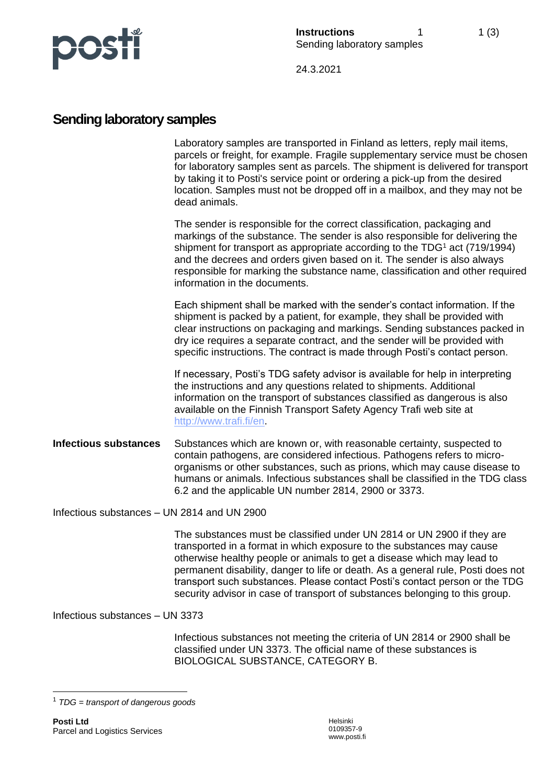

24.3.2021

## **Sending laboratory samples**

Laboratory samples are transported in Finland as letters, reply mail items, parcels or freight, for example. Fragile supplementary service must be chosen for laboratory samples sent as parcels. The shipment is delivered for transport by taking it to Posti's service point or ordering a pick-up from the desired location. Samples must not be dropped off in a mailbox, and they may not be dead animals.

The sender is responsible for the correct classification, packaging and markings of the substance. The sender is also responsible for delivering the shipment for transport as appropriate according to the TDG<sup>1</sup> act (719/1994) and the decrees and orders given based on it. The sender is also always responsible for marking the substance name, classification and other required information in the documents.

Each shipment shall be marked with the sender's contact information. If the shipment is packed by a patient, for example, they shall be provided with clear instructions on packaging and markings. Sending substances packed in dry ice requires a separate contract, and the sender will be provided with specific instructions. The contract is made through Posti's contact person.

If necessary, Posti's TDG safety advisor is available for help in interpreting the instructions and any questions related to shipments. Additional information on the transport of substances classified as dangerous is also available on the Finnish Transport Safety Agency Trafi web site at [http://www.trafi.fi/en.](http://www.trafi.fi/en)

**Infectious substances** Substances which are known or, with reasonable certainty, suspected to contain pathogens, are considered infectious. Pathogens refers to microorganisms or other substances, such as prions, which may cause disease to humans or animals. Infectious substances shall be classified in the TDG class 6.2 and the applicable UN number 2814, 2900 or 3373.

Infectious substances – UN 2814 and UN 2900

The substances must be classified under UN 2814 or UN 2900 if they are transported in a format in which exposure to the substances may cause otherwise healthy people or animals to get a disease which may lead to permanent disability, danger to life or death. As a general rule, Posti does not transport such substances. Please contact Posti's contact person or the TDG security advisor in case of transport of substances belonging to this group.

Infectious substances – UN 3373

Infectious substances not meeting the criteria of UN 2814 or 2900 shall be classified under UN 3373. The official name of these substances is BIOLOGICAL SUBSTANCE, CATEGORY B.

<sup>1</sup> *TDG = transport of dangerous goods*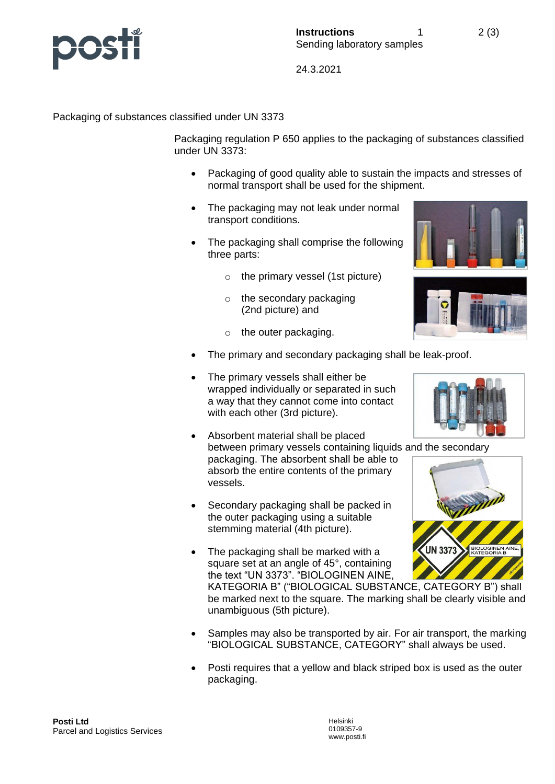

24.3.2021

Packaging of substances classified under UN 3373

Packaging regulation P 650 applies to the packaging of substances classified under UN 3373:

- Packaging of good quality able to sustain the impacts and stresses of normal transport shall be used for the shipment.
- The packaging may not leak under normal transport conditions.
- The packaging shall comprise the following three parts:
	- o the primary vessel (1st picture)
	- o the secondary packaging (2nd picture) and
	- o the outer packaging.
- The primary and secondary packaging shall be leak-proof.
- The primary vessels shall either be wrapped individually or separated in such a way that they cannot come into contact with each other (3rd picture).
- Absorbent material shall be placed between primary vessels containing liquids and the secondary packaging. The absorbent shall be able to absorb the entire contents of the primary vessels.
- Secondary packaging shall be packed in the outer packaging using a suitable stemming material (4th picture).
- The packaging shall be marked with a square set at an angle of 45°, containing the text "UN 3373". "BIOLOGINEN AINE,

KATEGORIA B" ("BIOLOGICAL SUBSTANCE, CATEGORY B") shall be marked next to the square. The marking shall be clearly visible and unambiguous (5th picture).

- Samples may also be transported by air. For air transport, the marking "BIOLOGICAL SUBSTANCE, CATEGORY" shall always be used.
- Posti requires that a yellow and black striped box is used as the outer packaging.